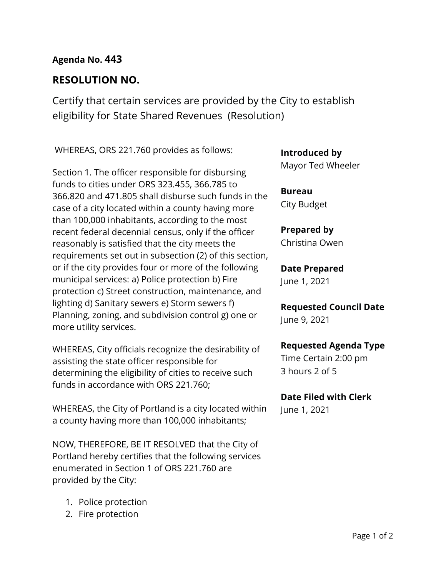# **Agenda No. 443**

# **RESOLUTION NO.**

Certify that certain services are provided by the City to establish eligibility for State Shared Revenues (Resolution)

WHEREAS, ORS 221.760 provides as follows:

Section 1. The officer responsible for disbursing funds to cities under ORS 323.455, 366.785 to 366.820 and 471.805 shall disburse such funds in the case of a city located within a county having more than 100,000 inhabitants, according to the most recent federal decennial census, only if the officer reasonably is satisfied that the city meets the requirements set out in subsection (2) of this section, or if the city provides four or more of the following municipal services: a) Police protection b) Fire protection c) Street construction, maintenance, and lighting d) Sanitary sewers e) Storm sewers f) Planning, zoning, and subdivision control g) one or more utility services.

WHEREAS, City officials recognize the desirability of assisting the state officer responsible for determining the eligibility of cities to receive such funds in accordance with ORS 221.760;

WHEREAS, the City of Portland is a city located within a county having more than 100,000 inhabitants;

NOW, THEREFORE, BE IT RESOLVED that the City of Portland hereby certifies that the following services enumerated in Section 1 of ORS 221.760 are provided by the City:

- 1. Police protection
- 2. Fire protection

**Introduced by**

Mayor Ted Wheeler

**Bureau** City Budget

**Prepared by** Christina Owen

# **Date Prepared**

June 1, 2021

**Requested Council Date** June 9, 2021

### **Requested Agenda Type**

Time Certain 2:00 pm 3 hours 2 of 5

### **Date Filed with Clerk**

June 1, 2021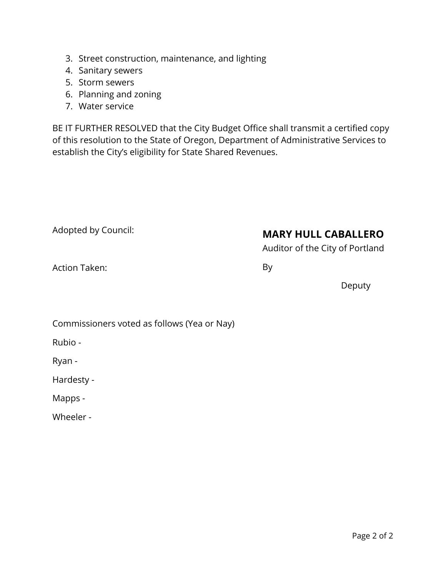- 3. Street construction, maintenance, and lighting
- 4. Sanitary sewers
- 5. Storm sewers
- 6. Planning and zoning
- 7. Water service

BE IT FURTHER RESOLVED that the City Budget Office shall transmit a certified copy of this resolution to the State of Oregon, Department of Administrative Services to establish the City's eligibility for State Shared Revenues.

| Adopted by Council: | <b>MARY HULL CABALLERO</b><br>Auditor of the City of Portland |  |  |
|---------------------|---------------------------------------------------------------|--|--|
| Action Taken:       | By                                                            |  |  |
|                     | Deputy                                                        |  |  |
|                     |                                                               |  |  |

|  | Commissioners voted as follows (Yea or Nay) |  |
|--|---------------------------------------------|--|
|--|---------------------------------------------|--|

Rubio -

Ryan -

Hardesty -

Mapps -

Wheeler -